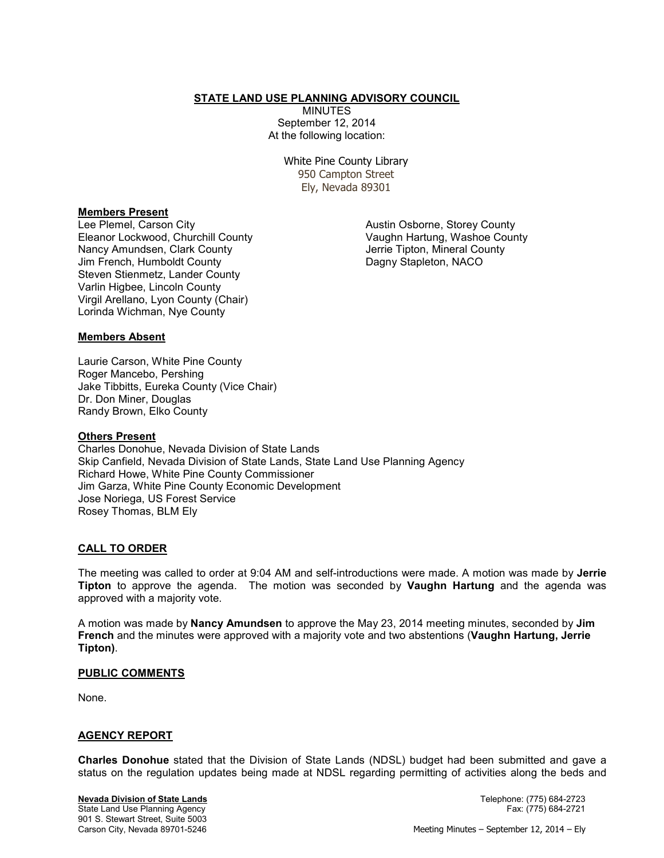## **STATE LAND USE PLANNING ADVISORY COUNCIL**

MINUTES September 12, 2014 At the following location:

> White Pine County Library 950 Campton Street Ely, Nevada 89301

#### **Members Present**

Lee Plemel, Carson City Eleanor Lockwood, Churchill County Nancy Amundsen, Clark County Jim French, Humboldt County Steven Stienmetz, Lander County Varlin Higbee, Lincoln County Virgil Arellano, Lyon County (Chair) Lorinda Wichman, Nye County

Austin Osborne, Storey County Vaughn Hartung, Washoe County Jerrie Tipton, Mineral County Dagny Stapleton, NACO

## **Members Absent**

Laurie Carson, White Pine County Roger Mancebo, Pershing Jake Tibbitts, Eureka County (Vice Chair) Dr. Don Miner, Douglas Randy Brown, Elko County

#### **Others Present**

Charles Donohue, Nevada Division of State Lands Skip Canfield, Nevada Division of State Lands, State Land Use Planning Agency Richard Howe, White Pine County Commissioner Jim Garza, White Pine County Economic Development Jose Noriega, US Forest Service Rosey Thomas, BLM Ely

## **CALL TO ORDER**

The meeting was called to order at 9:04 AM and self-introductions were made. A motion was made by **Jerrie Tipton** to approve the agenda. The motion was seconded by **Vaughn Hartung** and the agenda was approved with a majority vote.

A motion was made by **Nancy Amundsen** to approve the May 23, 2014 meeting minutes, seconded by **Jim French** and the minutes were approved with a majority vote and two abstentions (**Vaughn Hartung, Jerrie Tipton)**.

## **PUBLIC COMMENTS**

None.

## **AGENCY REPORT**

**Charles Donohue** stated that the Division of State Lands (NDSL) budget had been submitted and gave a status on the regulation updates being made at NDSL regarding permitting of activities along the beds and

State Land Use Planning Agency 901 S. Stewart Street, Suite 5003

**Nevada Division of State Lands** Telephone: (775) 684-2723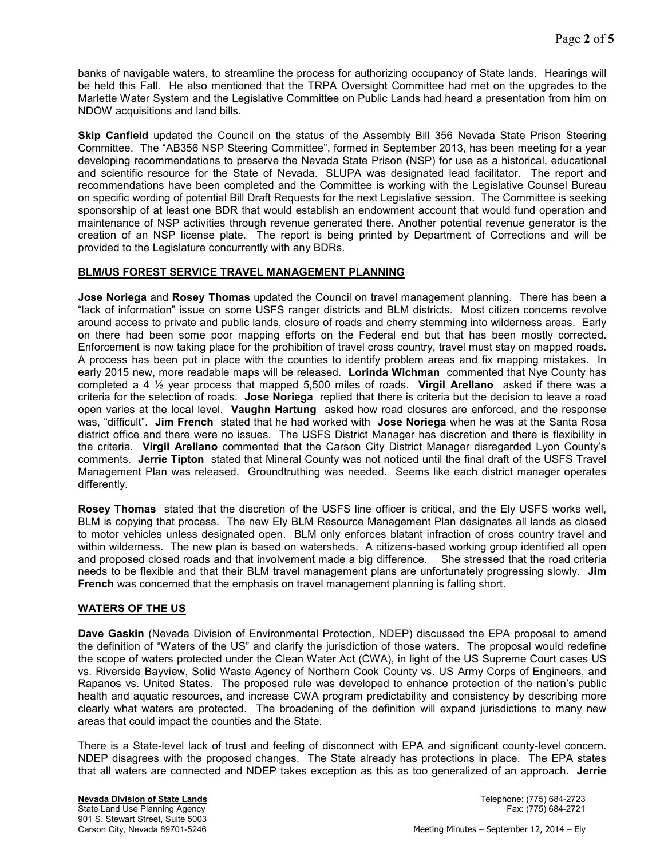banks of navigable waters, to streamline the process for authorizing occupancy of State lands. Hearings will be held this Fall. He also mentioned that the TRPA Oversight Committee had met on the upgrades to the Marlette Water System and the Legislative Committee on Public Lands had heard a presentation from him on NDOW acquisitions and land bills.

**Skip Canfield** updated the Council on the status of the Assembly Bill 356 Nevada State Prison Steering Committee. The "AB356 NSP Steering Committee", formed in September 2013, has been meeting for a year developing recommendations to preserve the Nevada State Prison (NSP) for use as a historical, educational and scientific resource for the State of Nevada. SLUPA was designated lead facilitator. The report and recommendations have been completed and the Committee is working with the Legislative Counsel Bureau on specific wording of potential Bill Draft Requests for the next Legislative session. The Committee is seeking sponsorship of at least one BDR that would establish an endowment account that would fund operation and maintenance of NSP activities through revenue generated there. Another potential revenue generator is the creation of an NSP license plate. The report is being printed by Department of Corrections and will be provided to the Legislature concurrently with any BDRs.

# **BLM/US FOREST SERVICE TRAVEL MANAGEMENT PLANNING**

**Jose Noriega** and **Rosey Thomas** updated the Council on travel management planning. There has been a "lack of information" issue on some USFS ranger districts and BLM districts. Most citizen concerns revolve around access to private and public lands, closure of roads and cherry stemming into wilderness areas. Early on there had been some poor mapping efforts on the Federal end but that has been mostly corrected. Enforcement is now taking place for the prohibition of travel cross country, travel must stay on mapped roads. A process has been put in place with the counties to identify problem areas and fix mapping mistakes. In early 2015 new, more readable maps will be released. **Lorinda Wichman** commented that Nye County has completed a 4 ½ year process that mapped 5,500 miles of roads. **Virgil Arellano** asked if there was a criteria for the selection of roads. **Jose Noriega** replied that there is criteria but the decision to leave a road open varies at the local level. **Vaughn Hartung** asked how road closures are enforced, and the response was, "difficult". **Jim French** stated that he had worked with **Jose Noriega** when he was at the Santa Rosa district office and there were no issues. The USFS District Manager has discretion and there is flexibility in the criteria. **Virgil Arellano** commented that the Carson City District Manager disregarded Lyon County's comments. **Jerrie Tipton** stated that Mineral County was not noticed until the final draft of the USFS Travel Management Plan was released. Groundtruthing was needed. Seems like each district manager operates differently.

**Rosey Thomas** stated that the discretion of the USFS line officer is critical, and the Ely USFS works well, BLM is copying that process. The new Ely BLM Resource Management Plan designates all lands as closed to motor vehicles unless designated open. BLM only enforces blatant infraction of cross country travel and within wilderness. The new plan is based on watersheds. A citizens-based working group identified all open and proposed closed roads and that involvement made a big difference. She stressed that the road criteria needs to be flexible and that their BLM travel management plans are unfortunately progressing slowly. **Jim French** was concerned that the emphasis on travel management planning is falling short.

## **WATERS OF THE US**

**Dave Gaskin** (Nevada Division of Environmental Protection, NDEP) discussed the EPA proposal to amend the definition of "Waters of the US" and clarify the jurisdiction of those waters. The proposal would redefine the scope of waters protected under the Clean Water Act (CWA), in light of the US Supreme Court cases US vs. Riverside Bayview, Solid Waste Agency of Northern Cook County vs. US Army Corps of Engineers, and Rapanos vs. United States. The proposed rule was developed to enhance protection of the nation's public health and aquatic resources, and increase CWA program predictability and consistency by describing more clearly what waters are protected. The broadening of the definition will expand jurisdictions to many new areas that could impact the counties and the State.

There is a State-level lack of trust and feeling of disconnect with EPA and significant county-level concern. NDEP disagrees with the proposed changes. The State already has protections in place. The EPA states that all waters are connected and NDEP takes exception as this as too generalized of an approach. **Jerrie**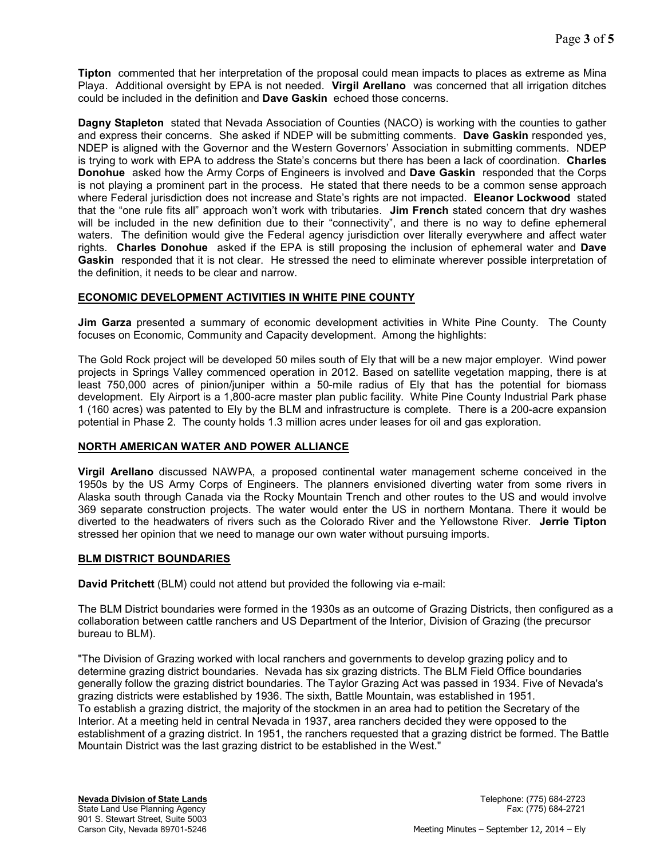**Tipton** commented that her interpretation of the proposal could mean impacts to places as extreme as Mina Playa. Additional oversight by EPA is not needed. **Virgil Arellano** was concerned that all irrigation ditches could be included in the definition and **Dave Gaskin** echoed those concerns.

**Dagny Stapleton** stated that Nevada Association of Counties (NACO) is working with the counties to gather and express their concerns. She asked if NDEP will be submitting comments. **Dave Gaskin** responded yes, NDEP is aligned with the Governor and the Western Governors' Association in submitting comments. NDEP is trying to work with EPA to address the State's concerns but there has been a lack of coordination. **Charles Donohue** asked how the Army Corps of Engineers is involved and **Dave Gaskin** responded that the Corps is not playing a prominent part in the process. He stated that there needs to be a common sense approach where Federal jurisdiction does not increase and State's rights are not impacted. **Eleanor Lockwood** stated that the "one rule fits all" approach won't work with tributaries. **Jim French** stated concern that dry washes will be included in the new definition due to their "connectivity", and there is no way to define ephemeral waters. The definition would give the Federal agency jurisdiction over literally everywhere and affect water rights. **Charles Donohue** asked if the EPA is still proposing the inclusion of ephemeral water and **Dave Gaskin** responded that it is not clear. He stressed the need to eliminate wherever possible interpretation of the definition, it needs to be clear and narrow.

# **ECONOMIC DEVELOPMENT ACTIVITIES IN WHITE PINE COUNTY**

**Jim Garza** presented a summary of economic development activities in White Pine County. The County focuses on Economic, Community and Capacity development. Among the highlights:

The Gold Rock project will be developed 50 miles south of Ely that will be a new major employer. Wind power projects in Springs Valley commenced operation in 2012. Based on satellite vegetation mapping, there is at least 750,000 acres of pinion/juniper within a 50-mile radius of Ely that has the potential for biomass development. Ely Airport is a 1,800-acre master plan public facility. White Pine County Industrial Park phase 1 (160 acres) was patented to Ely by the BLM and infrastructure is complete. There is a 200-acre expansion potential in Phase 2. The county holds 1.3 million acres under leases for oil and gas exploration.

## **NORTH AMERICAN WATER AND POWER ALLIANCE**

**Virgil Arellano** discussed NAWPA, a proposed continental water management scheme conceived in the 1950s by the US Army Corps of Engineers. The planners envisioned diverting water from some rivers in Alaska south through Canada via the Rocky Mountain Trench and other routes to the US and would involve 369 separate construction projects. The water would enter the US in northern Montana. There it would be diverted to the headwaters of rivers such as the Colorado River and the Yellowstone River. **Jerrie Tipton**  stressed her opinion that we need to manage our own water without pursuing imports.

## **BLM DISTRICT BOUNDARIES**

**David Pritchett** (BLM) could not attend but provided the following via e-mail:

The BLM District boundaries were formed in the 1930s as an outcome of Grazing Districts, then configured as a collaboration between cattle ranchers and US Department of the Interior, Division of Grazing (the precursor bureau to BLM).

"The Division of Grazing worked with local ranchers and governments to develop grazing policy and to determine grazing district boundaries. Nevada has six grazing districts. The BLM Field Office boundaries generally follow the grazing district boundaries. The Taylor Grazing Act was passed in 1934. Five of Nevada's grazing districts were established by 1936. The sixth, Battle Mountain, was established in 1951. To establish a grazing district, the majority of the stockmen in an area had to petition the Secretary of the Interior. At a meeting held in central Nevada in 1937, area ranchers decided they were opposed to the establishment of a grazing district. In 1951, the ranchers requested that a grazing district be formed. The Battle Mountain District was the last grazing district to be established in the West."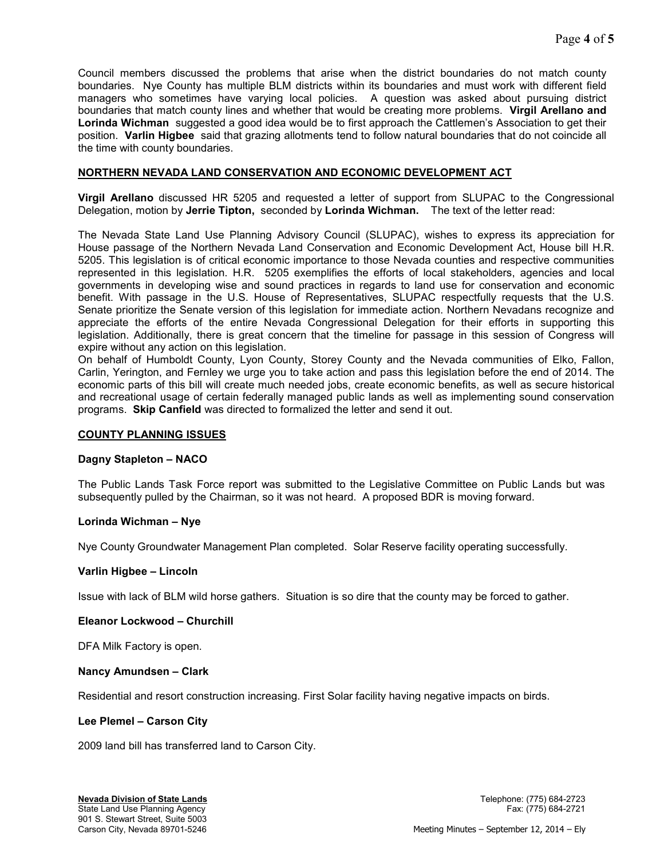Council members discussed the problems that arise when the district boundaries do not match county boundaries. Nye County has multiple BLM districts within its boundaries and must work with different field managers who sometimes have varying local policies. A question was asked about pursuing district boundaries that match county lines and whether that would be creating more problems. **Virgil Arellano and Lorinda Wichman** suggested a good idea would be to first approach the Cattlemen's Association to get their position. **Varlin Higbee** said that grazing allotments tend to follow natural boundaries that do not coincide all the time with county boundaries.

# **NORTHERN NEVADA LAND CONSERVATION AND ECONOMIC DEVELOPMENT ACT**

**Virgil Arellano** discussed HR 5205 and requested a letter of support from SLUPAC to the Congressional Delegation, motion by **Jerrie Tipton,** seconded by **Lorinda Wichman.** The text of the letter read:

The Nevada State Land Use Planning Advisory Council (SLUPAC), wishes to express its appreciation for House passage of the Northern Nevada Land Conservation and Economic Development Act, House bill H.R. 5205. This legislation is of critical economic importance to those Nevada counties and respective communities represented in this legislation. H.R. 5205 exemplifies the efforts of local stakeholders, agencies and local governments in developing wise and sound practices in regards to land use for conservation and economic benefit. With passage in the U.S. House of Representatives, SLUPAC respectfully requests that the U.S. Senate prioritize the Senate version of this legislation for immediate action. Northern Nevadans recognize and appreciate the efforts of the entire Nevada Congressional Delegation for their efforts in supporting this legislation. Additionally, there is great concern that the timeline for passage in this session of Congress will expire without any action on this legislation.

On behalf of Humboldt County, Lyon County, Storey County and the Nevada communities of Elko, Fallon, Carlin, Yerington, and Fernley we urge you to take action and pass this legislation before the end of 2014. The economic parts of this bill will create much needed jobs, create economic benefits, as well as secure historical and recreational usage of certain federally managed public lands as well as implementing sound conservation programs. **Skip Canfield** was directed to formalized the letter and send it out.

## **COUNTY PLANNING ISSUES**

## **Dagny Stapleton – NACO**

The Public Lands Task Force report was submitted to the Legislative Committee on Public Lands but was subsequently pulled by the Chairman, so it was not heard. A proposed BDR is moving forward.

## **Lorinda Wichman – Nye**

Nye County Groundwater Management Plan completed. Solar Reserve facility operating successfully.

#### **Varlin Higbee – Lincoln**

Issue with lack of BLM wild horse gathers. Situation is so dire that the county may be forced to gather.

#### **Eleanor Lockwood – Churchill**

DFA Milk Factory is open.

#### **Nancy Amundsen – Clark**

Residential and resort construction increasing. First Solar facility having negative impacts on birds.

#### **Lee Plemel – Carson City**

2009 land bill has transferred land to Carson City.